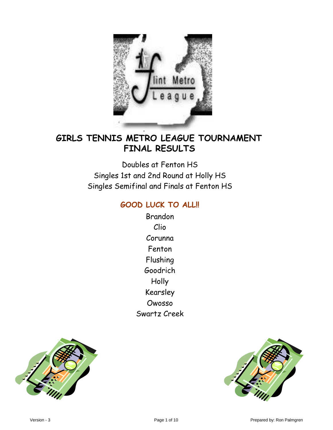

## **FINAL RESULTS GIRLS TENNIS METRO LEAGUE TOURNAMENT**

Doubles at Fenton HS Singles 1st and 2nd Round at Holly HS Singles Semifinal and Finals at Fenton HS

### **GOOD LUCK TO ALL!!**

Brandon Clio Corunna Fenton Flushing Goodrich Holly Kearsley Owosso Swartz Creek



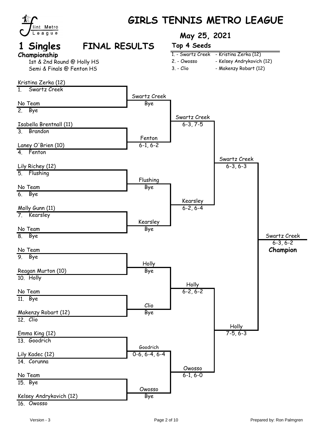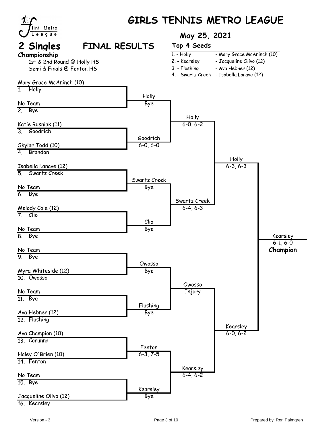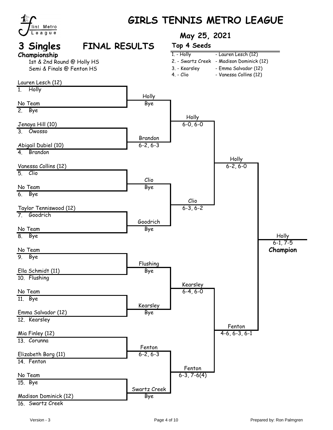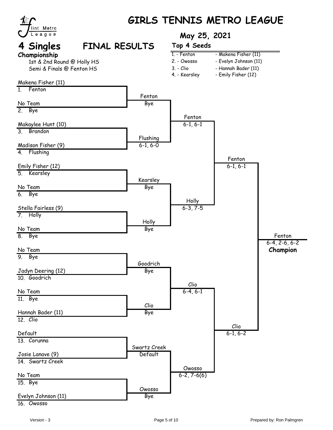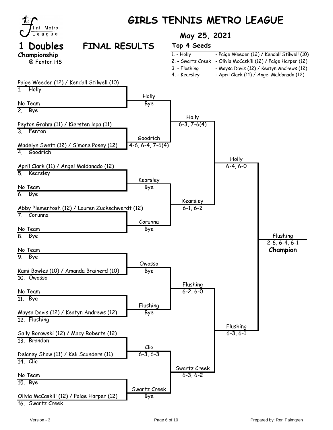

16. Swartz Creek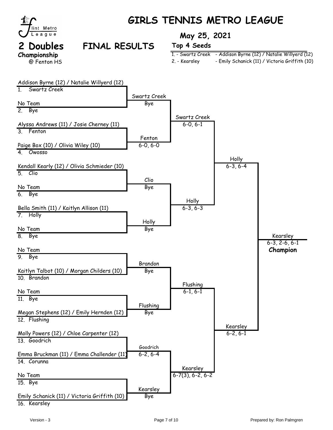

# **GIRLS TENNIS METRO LEAGUE**

# **Championship** @ Fenton HS

## **2 Doubles FINAL RESULTS Top 4 Seeds**

### **TOURNAMENT May 25, 2021**

|               | 1. - Swartz Creek - Addison Byrne (12) / Natalie Willyerd (12) |
|---------------|----------------------------------------------------------------|
| 2. - Kearsley | - Emily Schanick (11) / Victoria Griffith (10)                 |

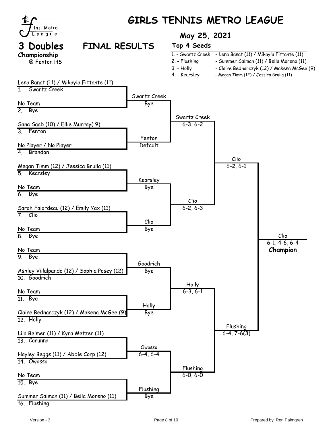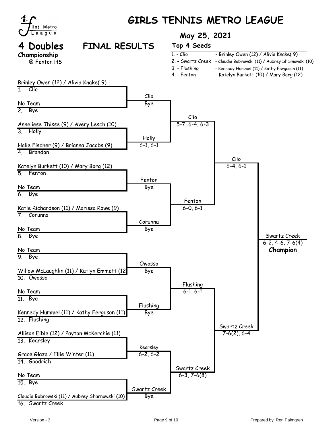